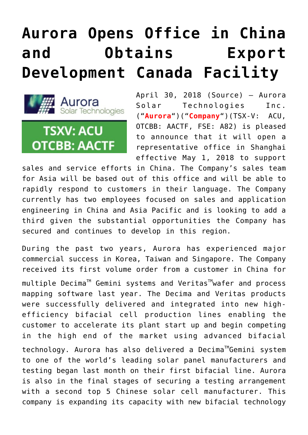## **[Aurora Opens Office in China](https://investorintel.com/markets/cleantech/cleantech-news/aurora-opens-office-china-obtains-export-development-canada-facility/) [and Obtains Export](https://investorintel.com/markets/cleantech/cleantech-news/aurora-opens-office-china-obtains-export-development-canada-facility/) [Development Canada Facility](https://investorintel.com/markets/cleantech/cleantech-news/aurora-opens-office-china-obtains-export-development-canada-facility/)**



April 30, 2018 ([Source\)](https://investorintel.com/iintel-members/aurora-solar-technologies-inc-2/) — Aurora Solar Technologies Inc. ("**Aurora**")("**Company**")(TSX-V: ACU, OTCBB: AACTF, FSE: A82) is pleased to announce that it will open a representative office in Shanghai effective May 1, 2018 to support

sales and service efforts in China. The Company's sales team for Asia will be based out of this office and will be able to rapidly respond to customers in their language. The Company currently has two employees focused on sales and application engineering in China and Asia Pacific and is looking to add a third given the substantial opportunities the Company has secured and continues to develop in this region.

During the past two years, Aurora has experienced major commercial success in Korea, Taiwan and Singapore. The Company received its first volume order from a customer in China for

multiple Decima<sup>™</sup> Gemini systems and Veritas<sup>™</sup>wafer and process mapping software last year. The Decima and Veritas products were successfully delivered and integrated into new highefficiency bifacial cell production lines enabling the customer to accelerate its plant start up and begin competing in the high end of the market using advanced bifacial

technology. Aurora has also delivered a Decima<sup>™</sup>Gemini system to one of the world's leading solar panel manufacturers and testing began last month on their first bifacial line. Aurora is also in the final stages of securing a testing arrangement with a second top 5 Chinese solar cell manufacturer. This company is expanding its capacity with new bifacial technology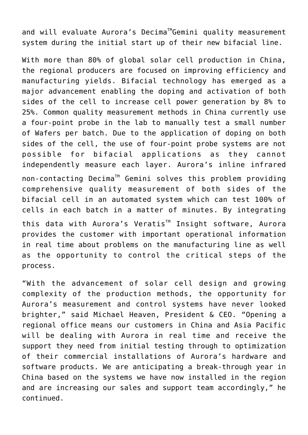and will evaluate Aurora's Decima<sup>™</sup>Gemini quality measurement system during the initial start up of their new bifacial line.

With more than 80% of global solar cell production in China, the regional producers are focused on improving efficiency and manufacturing yields. Bifacial technology has emerged as a major advancement enabling the doping and activation of both sides of the cell to increase cell power generation by 8% to 25%. Common quality measurement methods in China currently use a four-point probe in the lab to manually test a small number of Wafers per batch. Due to the application of doping on both sides of the cell, the use of four-point probe systems are not possible for bifacial applications as they cannot independently measure each layer. Aurora's inline infrared non-contacting Decima™ Gemini solves this problem providing comprehensive quality measurement of both sides of the bifacial cell in an automated system which can test 100% of cells in each batch in a matter of minutes. By integrating this data with Aurora's Veratis<sup>™</sup> Insight software, Aurora provides the customer with important operational information in real time about problems on the manufacturing line as well as the opportunity to control the critical steps of the process.

"With the advancement of solar cell design and growing complexity of the production methods, the opportunity for Aurora's measurement and control systems have never looked brighter," said Michael Heaven, President & CEO. "Opening a regional office means our customers in China and Asia Pacific will be dealing with Aurora in real time and receive the support they need from initial testing through to optimization of their commercial installations of Aurora's hardware and software products. We are anticipating a break-through year in China based on the systems we have now installed in the region and are increasing our sales and support team accordingly," he continued.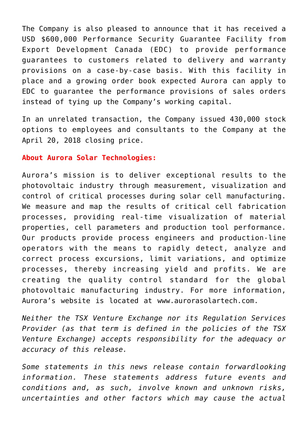The Company is also pleased to announce that it has received a USD \$600,000 Performance Security Guarantee Facility from Export Development Canada (EDC) to provide performance guarantees to customers related to delivery and warranty provisions on a case-by-case basis. With this facility in place and a growing order book expected Aurora can apply to EDC to guarantee the performance provisions of sales orders instead of tying up the Company's working capital.

In an unrelated transaction, the Company issued 430,000 stock options to employees and consultants to the Company at the April 20, 2018 closing price.

## **About Aurora Solar Technologies:**

Aurora's mission is to deliver exceptional results to the photovoltaic industry through measurement, visualization and control of critical processes during solar cell manufacturing. We measure and map the results of critical cell fabrication processes, providing real-time visualization of material properties, cell parameters and production tool performance. Our products provide process engineers and production-line operators with the means to rapidly detect, analyze and correct process excursions, limit variations, and optimize processes, thereby increasing yield and profits. We are creating the quality control standard for the global photovoltaic manufacturing industry. For more information, Aurora's website is located at [www.aurorasolartech.com](http://www.aurorasolartech.com/).

*Neither the TSX Venture Exchange nor its Regulation Services Provider (as that term is defined in the policies of the TSX Venture Exchange) accepts responsibility for the adequacy or accuracy of this release.*

*Some statements in this news release contain forwardlooking information. These statements address future events and conditions and, as such, involve known and unknown risks, uncertainties and other factors which may cause the actual*